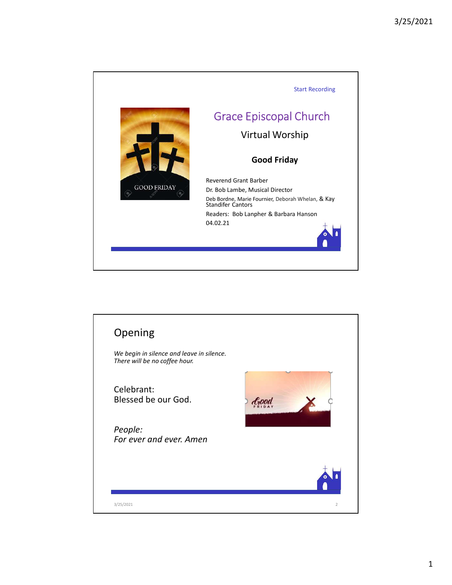

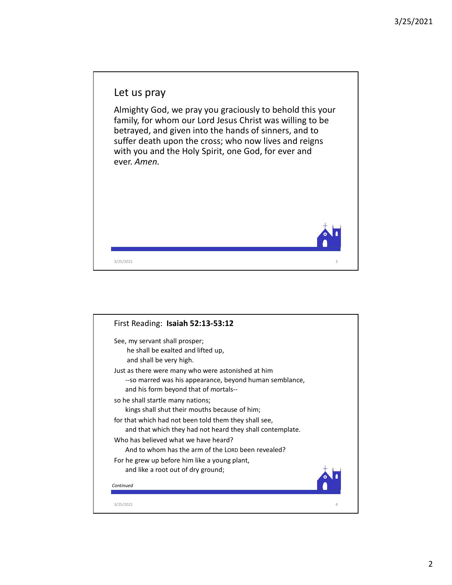

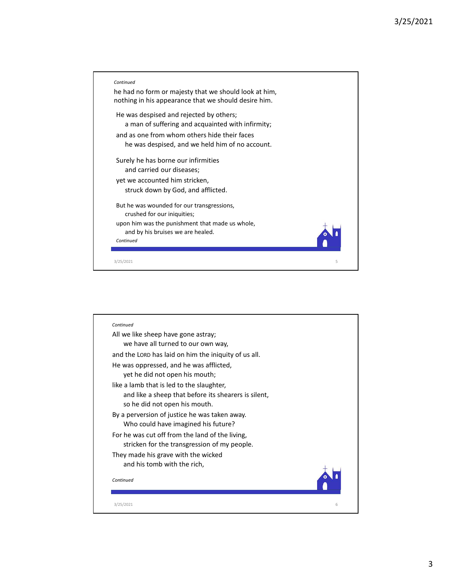

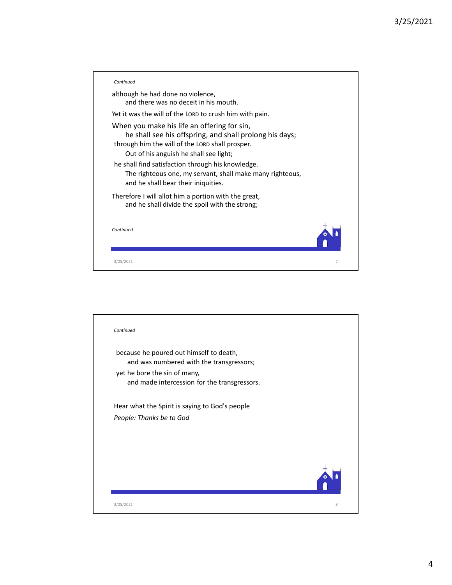| Continued                                                                                                  |
|------------------------------------------------------------------------------------------------------------|
| although he had done no violence,<br>and there was no deceit in his mouth.                                 |
| Yet it was the will of the LORD to crush him with pain.                                                    |
| When you make his life an offering for sin,                                                                |
| he shall see his offspring, and shall prolong his days;<br>through him the will of the LORD shall prosper. |
| Out of his anguish he shall see light;                                                                     |
| he shall find satisfaction through his knowledge.                                                          |
| The righteous one, my servant, shall make many righteous,<br>and he shall bear their iniquities.           |
| Therefore I will allot him a portion with the great,<br>and he shall divide the spoil with the strong;     |
| Continued                                                                                                  |
|                                                                                                            |
| 3/25/2021                                                                                                  |

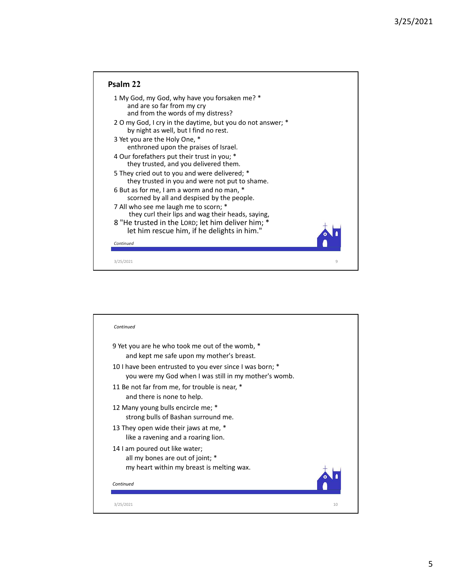

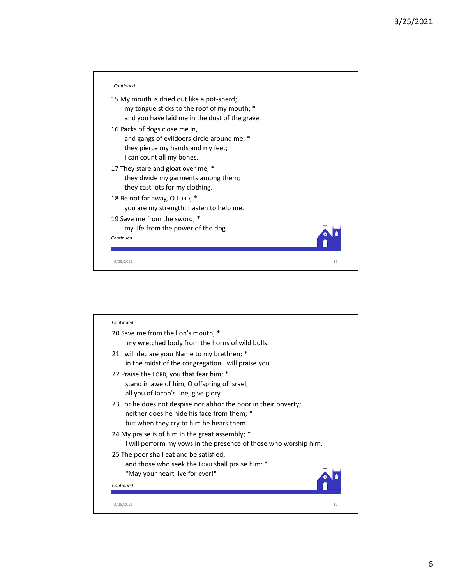

| they case lots for my clothing.                                  |
|------------------------------------------------------------------|
| 18 Be not far away, O LORD; *                                    |
| you are my strength; hasten to help me.                          |
| 19 Save me from the sword, *                                     |
| my life from the power of the dog.                               |
| Continued                                                        |
|                                                                  |
| 11<br>3/25/2021                                                  |
|                                                                  |
|                                                                  |
|                                                                  |
|                                                                  |
| Continued                                                        |
| 20 Save me from the lion's mouth, *                              |
| my wretched body from the horns of wild bulls.                   |
| 21 I will declare your Name to my brethren; *                    |
| in the midst of the congregation I will praise you.              |
| 22 Praise the LORD, you that fear him; *                         |
| stand in awe of him, O offspring of Israel;                      |
| all you of Jacob's line, give glory.                             |
| 23 For he does not despise nor abhor the poor in their poverty;  |
| neither does he hide his face from them; *                       |
| but when they cry to him he hears them.                          |
| 24 My praise is of him in the great assembly; *                  |
| I will perform my vows in the presence of those who worship him. |
| 25 The poor shall eat and be satisfied,                          |
| and those who seek the LORD shall praise him: *                  |
| "May your heart live for ever!"                                  |
| Continued                                                        |
|                                                                  |
| 3/25/2021<br>12                                                  |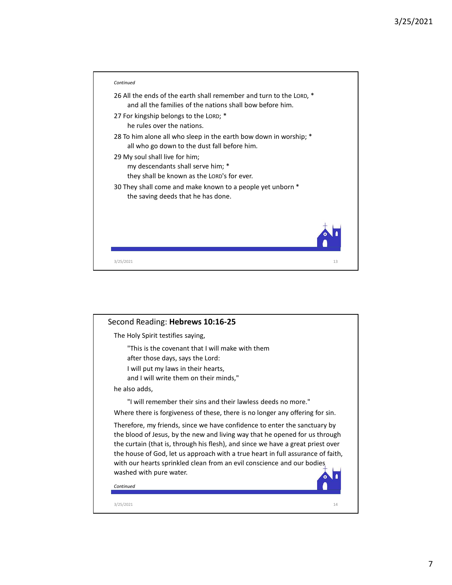|                                                                                                                                  | 3/25/2021 |
|----------------------------------------------------------------------------------------------------------------------------------|-----------|
|                                                                                                                                  |           |
| Continued                                                                                                                        |           |
| 26 All the ends of the earth shall remember and turn to the LORD, *<br>and all the families of the nations shall bow before him. |           |
| 27 For kingship belongs to the LORD; *<br>he rules over the nations.                                                             |           |
| 28 To him alone all who sleep in the earth bow down in worship; *<br>all who go down to the dust fall before him.                |           |
| 29 My soul shall live for him;<br>my descendants shall serve him; *<br>they shall be known as the LORD's for ever.               |           |
| 30 They shall come and make known to a people yet unborn *<br>the saving deeds that he has done.                                 |           |
|                                                                                                                                  |           |
|                                                                                                                                  |           |
| 3/25/2021<br>13                                                                                                                  |           |

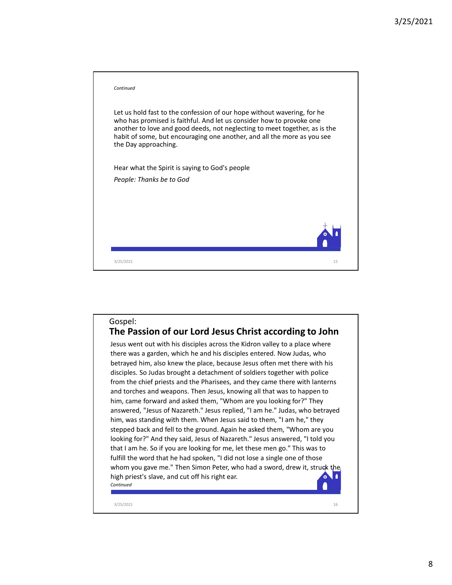

# Gospel: The Passion of our Lord Jesus Christ according to John

Jesus went out with his disciples across the Kidron valley to a place where there was a garden, which he and his disciples entered. Now Judas, who betrayed him, also knew the place, because Jesus often met there with his disciples. So Judas brought a detachment of soldiers together with police from the chief priests and the Pharisees, and they came there with lanterns and torches and weapons. Then Jesus, knowing all that was to happen to him, came forward and asked them, "Whom are you looking for?" They answered, "Jesus of Nazareth." Jesus replied, "I am he." Judas, who betrayed him, was standing with them. When Jesus said to them, "I am he," they stepped back and fell to the ground. Again he asked them, "Whom are you looking for?" And they said, Jesus of Nazareth." Jesus answered, "I told you that I am he. So if you are looking for me, let these men go." This was to fulfill the word that he had spoken, "I did not lose a single one of those whom you gave me." Then Simon Peter, who had a sword, drew it, struck the high priest's slave, and cut off his right ear. Continued nospel:<br>
Separation of our Lord Jesus Christ according to John<br>
the Passion of our Lord Jesus Christ according to a place where<br>
there was a garden, which he and his disciples entered. Now Judas, who<br>
etivared him, also kn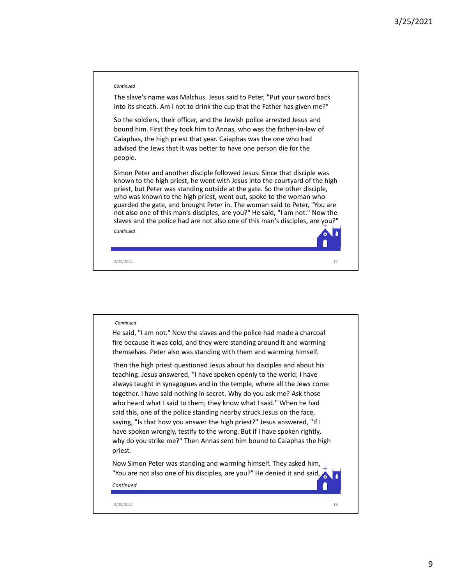

## Continued

He said, "I am not." Now the slaves and the police had made a charcoal fire because it was cold, and they were standing around it and warming themselves. Peter also was standing with them and warming himself.

Continued<br>
tes politicals in Tam not." Now the slawes and the police had made a charcoal<br>
terie because it was cold, and they were standing around it and warming<br>
there the high priest questioned lesus about this disciples Then the high priest questioned Jesus about his disciples and about his teaching. Jesus answered, "I have spoken openly to the world; I have always taught in synagogues and in the temple, where all the Jews come together. I have said nothing in secret. Why do you ask me? Ask those who heard what I said to them; they know what I said." When he had said this, one of the police standing nearby struck Jesus on the face, saying, "Is that how you answer the high priest?" Jesus answered, "If I have spoken wrongly, testify to the wrong. But if I have spoken rightly, why do you strike me?" Then Annas sent him bound to Caiaphas the high priest.

Now Simon Peter was standing and warming himself. They asked him, "You are not also one of his disciples, are you?" He denied it and said,

Continued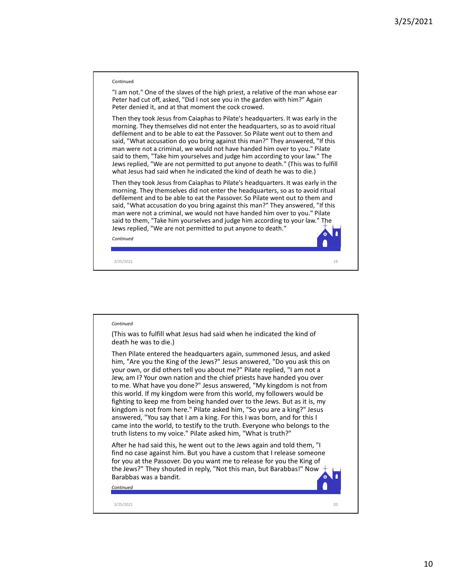

## Continued

(This was to fulfill what Jesus had said when he indicated the kind of death he was to die.)

Then Pilate entered the headquarters again, summoned Jesus, and asked him, "Are you the King of the Jews?" Jesus answered, "Do you ask this on your own, or did others tell you about me?" Pilate replied, "I am not a Jew, am I? Your own nation and the chief priests have handed you over to me. What have you done?" Jesus answered, "My kingdom is not from this world. If my kingdom were from this world, my followers would be fighting to keep me from being handed over to the Jews. But as it is, my kingdom is not from here." Pilate asked him, "So you are a king?" Jesus answered, "You say that I am a king. For this I was born, and for this I came into the world, to testify to the truth. Everyone who belongs to the truth listens to my voice." Pilate asked him, "What is truth?" continued<br>Strait was to fulfill what lesus had said when he indicated the kind of<br>These was to fulfill what lesus had said when he indicated the kind of<br>Henrin, "Are you the King of the lews?" lesus answered, "Do you also

After he had said this, he went out to the Jews again and told them, "I find no case against him. But you have a custom that I release someone for you at the Passover. Do you want me to release for you the King of the Jews?" They shouted in reply, "Not this man, but Barabbas!" Now Barabbas was a bandit.

Continued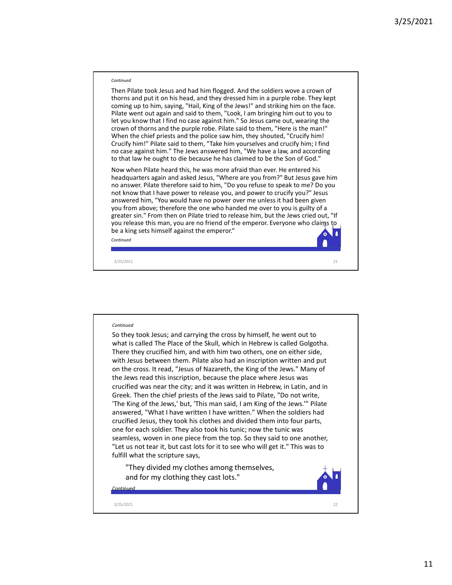#### Continued

Then Pilate took Jesus and had him flogged. And the soldiers wove a crown of thorns and put it on his head, and they dressed him in a purple robe. They kept coming up to him, saying, "Hail, King of the Jews!" and striking him on the face. Pilate went out again and said to them, "Look, I am bringing him out to you to let you know that I find no case against him." So Jesus came out, wearing the crown of thorns and the purple robe. Pilate said to them, "Here is the man!" When the chief priests and the police saw him, they shouted, "Crucify him! Crucify him!" Pilate said to them, "Take him yourselves and crucify him; I find no case against him." The Jews answered him, "We have a law, and according to that law he ought to die because he has claimed to be the Son of God." onwear<br>onwear<br>then Pilate took Jesus and had him flogged. And the soldiers wove a crown of<br>them Pilate took Jesus and had thim (as a particular particular particle particle particle. They kept<br>child list went out again and

Now when Pilate heard this, he was more afraid than ever. He entered his headquarters again and asked Jesus, "Where are you from?" But Jesus gave him no answer. Pilate therefore said to him, "Do you refuse to speak to me? Do you not know that I have power to release you, and power to crucify you?" Jesus answered him, "You would have no power over me unless it had been given you from above; therefore the one who handed me over to you is guilty of a greater sin." From then on Pilate tried to release him, but the Jews cried out, "If you release this man, you are no friend of the emperor. Everyone who claims to be a king sets himself against the emperor."

Continued



#### **Continued**

So they took Jesus; and carrying the cross by himself, he went out to what is called The Place of the Skull, which in Hebrew is called Golgotha. There they crucified him, and with him two others, one on either side, with Jesus between them. Pilate also had an inscription written and put on the cross. It read, "Jesus of Nazareth, the King of the Jews." Many of the Jews read this inscription, because the place where Jesus was crucified was near the city; and it was written in Hebrew, in Latin, and in Greek. Then the chief priests of the Jews said to Pilate, "Do not write, 'The King of the Jews,' but, 'This man said, I am King of the Jews.'" Pilate answered, "What I have written I have written." When the soldiers had crucified Jesus, they took his clothes and divided them into four parts, one for each soldier. They also took his tunic; now the tunic was seamless, woven in one piece from the top. So they said to one another, "Let us not tear it, but cast lots for it to see who will get it." This was to fulfill what the scripture says, Continued<br>
Som that is called The Place of the Skull, which in Hebrew is called Golgotha.<br>
Som they took lessus; and carrying the cross by himself, he went out to<br>
the reade,<br>
the reade, which then and with thim two others

"They divided my clothes among themselves, and for my clothing they cast lots."



Continued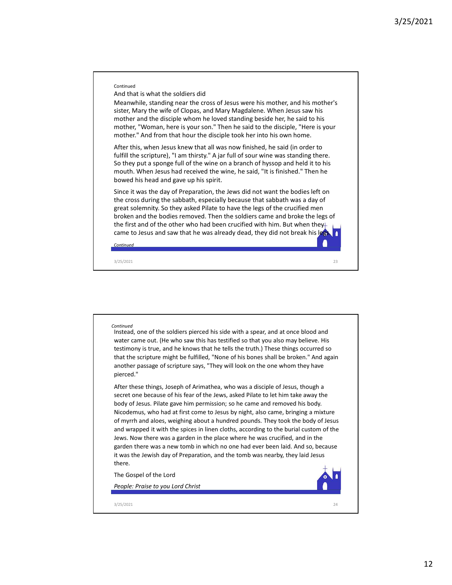



Instead, one of the soldiers pierced his side with a spear, and at once blood and water came out. (He who saw this has testified so that you also may believe. His testimony is true, and he knows that he tells the truth.) These things occurred so that the scripture might be fulfilled, "None of his bones shall be broken." And again another passage of scripture says, "They will look on the one whom they have pierced."

After these things, Joseph of Arimathea, who was a disciple of Jesus, though a secret one because of his fear of the Jews, asked Pilate to let him take away the body of Jesus. Pilate gave him permission; so he came and removed his body. Nicodemus, who had at first come to Jesus by night, also came, bringing a mixture of myrrh and aloes, weighing about a hundred pounds. They took the body of Jesus and wrapped it with the spices in linen cloths, according to the burial custom of the Jews. Now there was a garden in the place where he was crucified, and in the garden there was a new tomb in which no one had ever been laid. And so, because it was the Jewish day of Preparation, and the tomb was nearby, they laid Jesus there. nothioned<br>
meta-dome of the soldiers pierced his side with a spear, and at once blood and<br>
meta-dome out. (He who saw this has testfited so that you also may believe. His<br>
testimony is true, and he knows that he tellic the

The Gospel of the Lord

People: Praise to you Lord Christ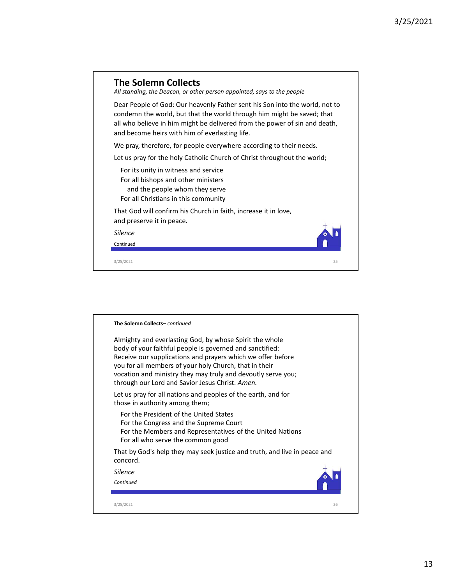

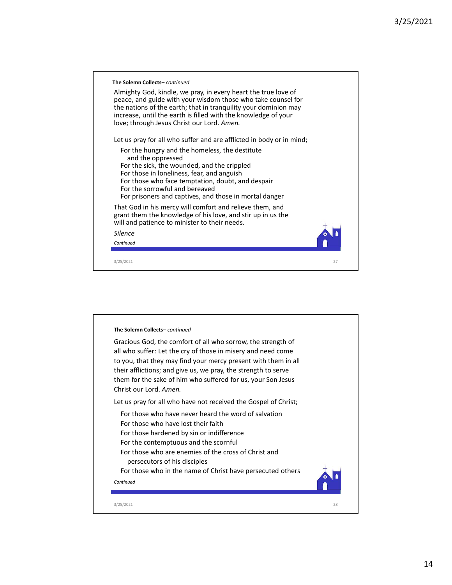| The Solemn Collects-continued                                                                                                   |    |
|---------------------------------------------------------------------------------------------------------------------------------|----|
| Almighty God, kindle, we pray, in every heart the true love of                                                                  |    |
| peace, and guide with your wisdom those who take counsel for<br>the nations of the earth; that in tranquility your dominion may |    |
| increase, until the earth is filled with the knowledge of your                                                                  |    |
| love; through Jesus Christ our Lord. Amen.                                                                                      |    |
| Let us pray for all who suffer and are afflicted in body or in mind;                                                            |    |
| For the hungry and the homeless, the destitute                                                                                  |    |
| and the oppressed                                                                                                               |    |
| For the sick, the wounded, and the crippled<br>For those in loneliness, fear, and anguish                                       |    |
| For those who face temptation, doubt, and despair                                                                               |    |
| For the sorrowful and bereaved                                                                                                  |    |
| For prisoners and captives, and those in mortal danger                                                                          |    |
| That God in his mercy will comfort and relieve them, and                                                                        |    |
| grant them the knowledge of his love, and stir up in us the<br>will and patience to minister to their needs.                    |    |
|                                                                                                                                 |    |
| <b>Silence</b>                                                                                                                  |    |
| Continued                                                                                                                       |    |
| 3/25/2021                                                                                                                       | 27 |
|                                                                                                                                 |    |
|                                                                                                                                 |    |
|                                                                                                                                 |    |
|                                                                                                                                 |    |
|                                                                                                                                 |    |
|                                                                                                                                 |    |

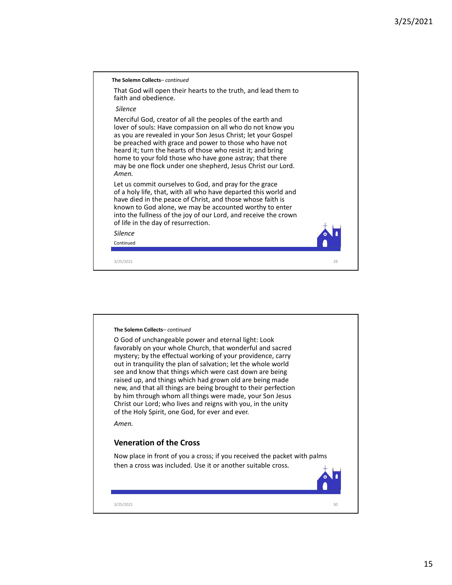

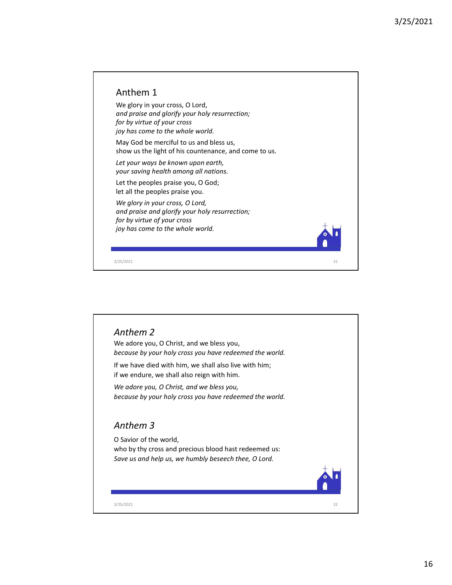## Anthem 1

We glory in your cross, O Lord, and praise and glorify your holy resurrection; for by virtue of your cross joy has come to the whole world. Antherm 1<br>We glory in your cross, O Lord,<br>
and praise and glorify your holy resurrection;<br>
for by vitter of your cross<br>
for by interests<br>
in the whole world.<br>
May God be merciful to us and bless us,<br>
show us the light of

May God be merciful to us and bless us, show us the light of his countenance, and come to us.

Let your ways be known upon earth, your saving health among all nations.

Let the peoples praise you, O God; let all the peoples praise you.

We glory in your cross, O Lord, and praise and glorify your holy resurrection; for by virtue of your cross joy has come to the whole world.